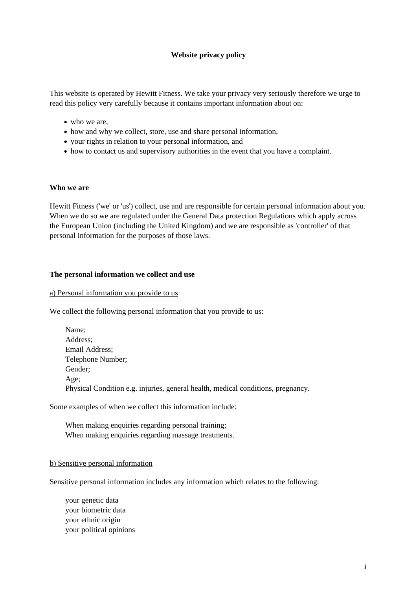## **Website privacy policy**

This website is operated by Hewitt Fitness. We take your privacy very seriously therefore we urge to read this policy very carefully because it contains important information about on:

- who we are,
- how and why we collect, store, use and share personal information,
- your rights in relation to your personal information, and
- how to contact us and supervisory authorities in the event that you have a complaint.

#### **Who we are**

Hewitt Fitness ('we' or 'us') collect, use and are responsible for certain personal information about you. When we do so we are regulated under the General Data protection Regulations which apply across the European Union (including the United Kingdom) and we are responsible as 'controller' of that personal information for the purposes of those laws.

#### **The personal information we collect and use**

#### a) Personal information you provide to us

We collect the following personal information that you provide to us:

| Name;                                                                            |
|----------------------------------------------------------------------------------|
| Address;                                                                         |
| Email Address;                                                                   |
| Telephone Number;                                                                |
| Gender;                                                                          |
| Age;                                                                             |
| Physical Condition e.g. injuries, general health, medical conditions, pregnancy. |

Some examples of when we collect this information include:

When making enquiries regarding personal training; When making enquiries regarding massage treatments.

#### b) Sensitive personal information

Sensitive personal information includes any information which relates to the following:

your genetic data your biometric data your ethnic origin your political opinions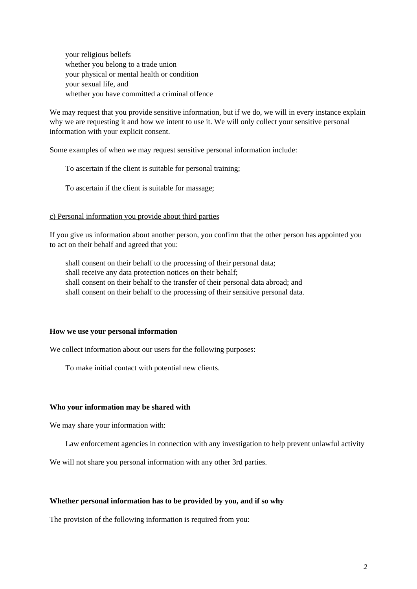your religious beliefs whether you belong to a trade union your physical or mental health or condition your sexual life, and whether you have committed a criminal offence

We may request that you provide sensitive information, but if we do, we will in every instance explain why we are requesting it and how we intent to use it. We will only collect your sensitive personal information with your explicit consent.

Some examples of when we may request sensitive personal information include:

To ascertain if the client is suitable for personal training;

To ascertain if the client is suitable for massage;

#### c) Personal information you provide about third parties

If you give us information about another person, you confirm that the other person has appointed you to act on their behalf and agreed that you:

shall consent on their behalf to the processing of their personal data; shall receive any data protection notices on their behalf; shall consent on their behalf to the transfer of their personal data abroad; and shall consent on their behalf to the processing of their sensitive personal data.

#### **How we use your personal information**

We collect information about our users for the following purposes:

To make initial contact with potential new clients.

#### **Who your information may be shared with**

We may share your information with:

Law enforcement agencies in connection with any investigation to help prevent unlawful activity

We will not share you personal information with any other 3rd parties.

## **Whether personal information has to be provided by you, and if so why**

The provision of the following information is required from you: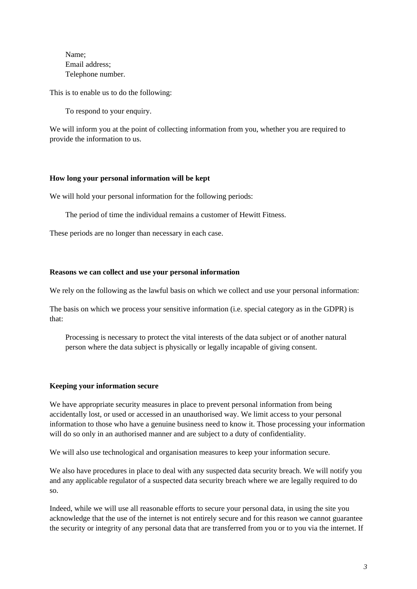Name; Email address; Telephone number.

This is to enable us to do the following:

To respond to your enquiry.

We will inform you at the point of collecting information from you, whether you are required to provide the information to us.

## **How long your personal information will be kept**

We will hold your personal information for the following periods:

The period of time the individual remains a customer of Hewitt Fitness.

These periods are no longer than necessary in each case.

### **Reasons we can collect and use your personal information**

We rely on the following as the lawful basis on which we collect and use your personal information:

The basis on which we process your sensitive information (i.e. special category as in the GDPR) is that:

Processing is necessary to protect the vital interests of the data subject or of another natural person where the data subject is physically or legally incapable of giving consent.

### **Keeping your information secure**

We have appropriate security measures in place to prevent personal information from being accidentally lost, or used or accessed in an unauthorised way. We limit access to your personal information to those who have a genuine business need to know it. Those processing your information will do so only in an authorised manner and are subject to a duty of confidentiality.

We will also use technological and organisation measures to keep your information secure.

We also have procedures in place to deal with any suspected data security breach. We will notify you and any applicable regulator of a suspected data security breach where we are legally required to do so.

Indeed, while we will use all reasonable efforts to secure your personal data, in using the site you acknowledge that the use of the internet is not entirely secure and for this reason we cannot guarantee the security or integrity of any personal data that are transferred from you or to you via the internet. If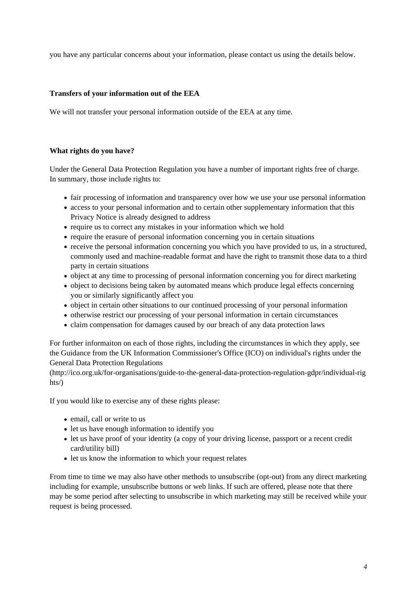you have any particular concerns about your information, please contact us using the details below.

# **Transfers of your information out of the EEA**

We will not transfer your personal information outside of the EEA at any time.

## **What rights do you have?**

Under the General Data Protection Regulation you have a number of important rights free of charge. In summary, those include rights to:

- fair processing of information and transparency over how we use your use personal information
- access to your personal information and to certain other supplementary information that this Privacy Notice is already designed to address
- require us to correct any mistakes in your information which we hold
- require the erasure of personal information concerning you in certain situations
- receive the personal information concerning you which you have provided to us, in a structured, commonly used and machine-readable format and have the right to transmit those data to a third party in certain situations
- object at any time to processing of personal information concerning you for direct marketing
- object to decisions being taken by automated means which produce legal effects concerning you or similarly significantly affect you
- object in certain other situations to our continued processing of your personal information
- otherwise restrict our processing of your personal information in certain circumstances
- claim compensation for damages caused by our breach of any data protection laws

For further informaiton on each of those rights, including the circumstances in which they apply, see the Guidance from the UK Information Commissioner's Office (ICO) on individual's rights under the General Data Protection Regulations

(http://ico.org.uk/for-organisations/guide-to-the-general-data-protection-regulation-gdpr/individual-rig hts/)

If you would like to exercise any of these rights please:

- email, call or write to us
- let us have enough information to identify you
- let us have proof of your identity (a copy of your driving license, passport or a recent credit card/utility bill)
- let us know the information to which your request relates

From time to time we may also have other methods to unsubscribe (opt-out) from any direct marketing including for example, unsubscribe buttons or web links. If such are offered, please note that there may be some period after selecting to unsubscribe in which marketing may still be received while your request is being processed.